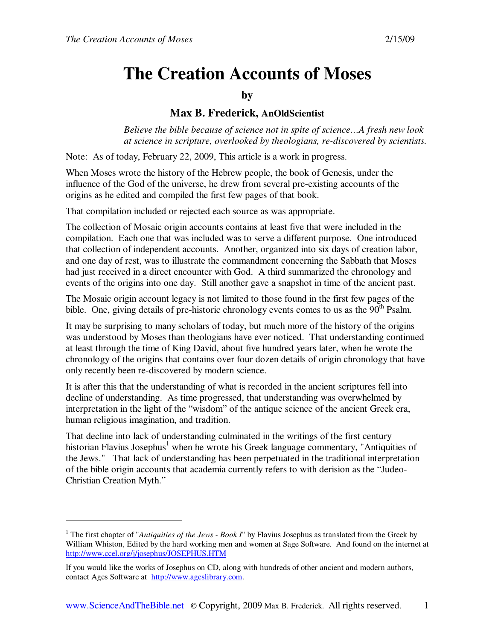-

# **The Creation Accounts of Moses**

## **by**

## **Max B. Frederick, AnOldScientist**

*Believe the bible because of science not in spite of science…A fresh new look at science in scripture, overlooked by theologians, re-discovered by scientists.* 

Note: As of today, February 22, 2009, This article is a work in progress.

When Moses wrote the history of the Hebrew people, the book of Genesis, under the influence of the God of the universe, he drew from several pre-existing accounts of the origins as he edited and compiled the first few pages of that book.

That compilation included or rejected each source as was appropriate.

The collection of Mosaic origin accounts contains at least five that were included in the compilation. Each one that was included was to serve a different purpose. One introduced that collection of independent accounts. Another, organized into six days of creation labor, and one day of rest, was to illustrate the commandment concerning the Sabbath that Moses had just received in a direct encounter with God. A third summarized the chronology and events of the origins into one day. Still another gave a snapshot in time of the ancient past.

The Mosaic origin account legacy is not limited to those found in the first few pages of the bible. One, giving details of pre-historic chronology events comes to us as the  $90<sup>th</sup>$  Psalm.

It may be surprising to many scholars of today, but much more of the history of the origins was understood by Moses than theologians have ever noticed. That understanding continued at least through the time of King David, about five hundred years later, when he wrote the chronology of the origins that contains over four dozen details of origin chronology that have only recently been re-discovered by modern science.

It is after this that the understanding of what is recorded in the ancient scriptures fell into decline of understanding. As time progressed, that understanding was overwhelmed by interpretation in the light of the "wisdom" of the antique science of the ancient Greek era, human religious imagination, and tradition.

That decline into lack of understanding culminated in the writings of the first century historian Flavius Josephus<sup>1</sup> when he wrote his Greek language commentary, "Antiquities of the Jews." That lack of understanding has been perpetuated in the traditional interpretation of the bible origin accounts that academia currently refers to with derision as the "Judeo-Christian Creation Myth."

<sup>&</sup>lt;sup>1</sup> The first chapter of "*Antiquities of the Jews - Book I*" by Flavius Josephus as translated from the Greek by William Whiston, Edited by the hard working men and women at Sage Software. And found on the internet at http://www.ccel.org/j/josephus/JOSEPHUS.HTM

If you would like the works of Josephus on CD, along with hundreds of other ancient and modern authors, contact Ages Software at http://www.ageslibrary.com.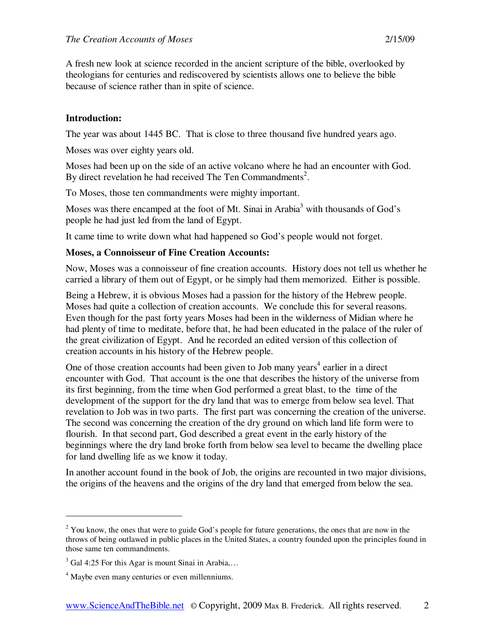A fresh new look at science recorded in the ancient scripture of the bible, overlooked by theologians for centuries and rediscovered by scientists allows one to believe the bible because of science rather than in spite of science.

## **Introduction:**

The year was about 1445 BC. That is close to three thousand five hundred years ago.

Moses was over eighty years old.

Moses had been up on the side of an active volcano where he had an encounter with God. By direct revelation he had received The Ten Commandments<sup>2</sup>.

To Moses, those ten commandments were mighty important.

Moses was there encamped at the foot of Mt. Sinai in Arabia<sup>3</sup> with thousands of God's people he had just led from the land of Egypt.

It came time to write down what had happened so God's people would not forget.

## **Moses, a Connoisseur of Fine Creation Accounts:**

Now, Moses was a connoisseur of fine creation accounts. History does not tell us whether he carried a library of them out of Egypt, or he simply had them memorized. Either is possible.

Being a Hebrew, it is obvious Moses had a passion for the history of the Hebrew people. Moses had quite a collection of creation accounts. We conclude this for several reasons. Even though for the past forty years Moses had been in the wilderness of Midian where he had plenty of time to meditate, before that, he had been educated in the palace of the ruler of the great civilization of Egypt. And he recorded an edited version of this collection of creation accounts in his history of the Hebrew people.

One of those creation accounts had been given to Job many years<sup>4</sup> earlier in a direct encounter with God. That account is the one that describes the history of the universe from its first beginning, from the time when God performed a great blast, to the time of the development of the support for the dry land that was to emerge from below sea level. That revelation to Job was in two parts. The first part was concerning the creation of the universe. The second was concerning the creation of the dry ground on which land life form were to flourish. In that second part, God described a great event in the early history of the beginnings where the dry land broke forth from below sea level to became the dwelling place for land dwelling life as we know it today.

In another account found in the book of Job, the origins are recounted in two major divisions, the origins of the heavens and the origins of the dry land that emerged from below the sea.

 $2$  You know, the ones that were to guide God's people for future generations, the ones that are now in the throws of being outlawed in public places in the United States, a country founded upon the principles found in those same ten commandments.

 $3$  Gal 4:25 For this Agar is mount Sinai in Arabia,...

<sup>&</sup>lt;sup>4</sup> Maybe even many centuries or even millenniums.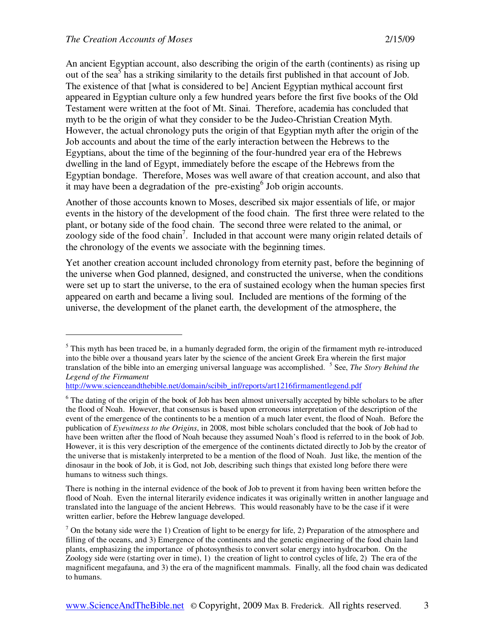-

An ancient Egyptian account, also describing the origin of the earth (continents) as rising up out of the sea<sup>5</sup> has a striking similarity to the details first published in that account of Job. The existence of that [what is considered to be] Ancient Egyptian mythical account first appeared in Egyptian culture only a few hundred years before the first five books of the Old Testament were written at the foot of Mt. Sinai. Therefore, academia has concluded that myth to be the origin of what they consider to be the Judeo-Christian Creation Myth. However, the actual chronology puts the origin of that Egyptian myth after the origin of the Job accounts and about the time of the early interaction between the Hebrews to the Egyptians, about the time of the beginning of the four-hundred year era of the Hebrews dwelling in the land of Egypt, immediately before the escape of the Hebrews from the Egyptian bondage. Therefore, Moses was well aware of that creation account, and also that it may have been a degradation of the pre-existing<sup>6</sup> Job origin accounts.

Another of those accounts known to Moses, described six major essentials of life, or major events in the history of the development of the food chain. The first three were related to the plant, or botany side of the food chain. The second three were related to the animal, or zoology side of the food chain<sup>7</sup>. Included in that account were many origin related details of the chronology of the events we associate with the beginning times.

Yet another creation account included chronology from eternity past, before the beginning of the universe when God planned, designed, and constructed the universe, when the conditions were set up to start the universe, to the era of sustained ecology when the human species first appeared on earth and became a living soul. Included are mentions of the forming of the universe, the development of the planet earth, the development of the atmosphere, the

 $<sup>5</sup>$  This myth has been traced be, in a humanly degraded form, the origin of the firmament myth re-introduced</sup> into the bible over a thousand years later by the science of the ancient Greek Era wherein the first major translation of the bible into an emerging universal language was accomplished. <sup>5</sup> See, *The Story Behind the Legend of the Firmament*

http://www.scienceandthebible.net/domain/scibib\_inf/reports/art1216firmamentlegend.pdf

<sup>&</sup>lt;sup>6</sup> The dating of the origin of the book of Job has been almost universally accepted by bible scholars to be after the flood of Noah. However, that consensus is based upon erroneous interpretation of the description of the event of the emergence of the continents to be a mention of a much later event, the flood of Noah. Before the publication of *Eyewitness to the Origins*, in 2008, most bible scholars concluded that the book of Job had to have been written after the flood of Noah because they assumed Noah's flood is referred to in the book of Job. However, it is this very description of the emergence of the continents dictated directly to Job by the creator of the universe that is mistakenly interpreted to be a mention of the flood of Noah. Just like, the mention of the dinosaur in the book of Job, it is God, not Job, describing such things that existed long before there were humans to witness such things.

There is nothing in the internal evidence of the book of Job to prevent it from having been written before the flood of Noah. Even the internal literarily evidence indicates it was originally written in another language and translated into the language of the ancient Hebrews. This would reasonably have to be the case if it were written earlier, before the Hebrew language developed.

 $<sup>7</sup>$  On the botany side were the 1) Creation of light to be energy for life, 2) Preparation of the atmosphere and</sup> filling of the oceans, and 3) Emergence of the continents and the genetic engineering of the food chain land plants, emphasizing the importance of photosynthesis to convert solar energy into hydrocarbon. On the Zoology side were (starting over in time), 1) the creation of light to control cycles of life, 2) The era of the magnificent megafauna, and 3) the era of the magnificent mammals. Finally, all the food chain was dedicated to humans.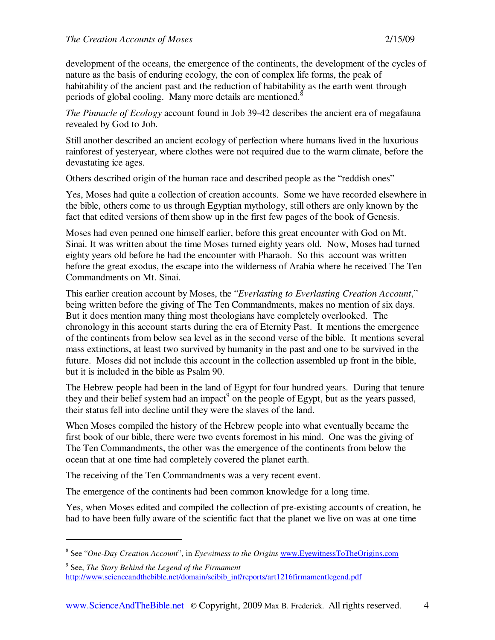development of the oceans, the emergence of the continents, the development of the cycles of nature as the basis of enduring ecology, the eon of complex life forms, the peak of habitability of the ancient past and the reduction of habitability as the earth went through periods of global cooling. Many more details are mentioned.<sup>8</sup>

*The Pinnacle of Ecology* account found in Job 39-42 describes the ancient era of megafauna revealed by God to Job.

Still another described an ancient ecology of perfection where humans lived in the luxurious rainforest of yesteryear, where clothes were not required due to the warm climate, before the devastating ice ages.

Others described origin of the human race and described people as the "reddish ones"

Yes, Moses had quite a collection of creation accounts. Some we have recorded elsewhere in the bible, others come to us through Egyptian mythology, still others are only known by the fact that edited versions of them show up in the first few pages of the book of Genesis.

Moses had even penned one himself earlier, before this great encounter with God on Mt. Sinai. It was written about the time Moses turned eighty years old. Now, Moses had turned eighty years old before he had the encounter with Pharaoh. So this account was written before the great exodus, the escape into the wilderness of Arabia where he received The Ten Commandments on Mt. Sinai.

This earlier creation account by Moses, the "*Everlasting to Everlasting Creation Account*," being written before the giving of The Ten Commandments, makes no mention of six days. But it does mention many thing most theologians have completely overlooked. The chronology in this account starts during the era of Eternity Past. It mentions the emergence of the continents from below sea level as in the second verse of the bible. It mentions several mass extinctions, at least two survived by humanity in the past and one to be survived in the future. Moses did not include this account in the collection assembled up front in the bible, but it is included in the bible as Psalm 90.

The Hebrew people had been in the land of Egypt for four hundred years. During that tenure they and their belief system had an impact<sup>9</sup> on the people of Egypt, but as the years passed, their status fell into decline until they were the slaves of the land.

When Moses compiled the history of the Hebrew people into what eventually became the first book of our bible, there were two events foremost in his mind. One was the giving of The Ten Commandments, the other was the emergence of the continents from below the ocean that at one time had completely covered the planet earth.

The receiving of the Ten Commandments was a very recent event.

-

The emergence of the continents had been common knowledge for a long time.

Yes, when Moses edited and compiled the collection of pre-existing accounts of creation, he had to have been fully aware of the scientific fact that the planet we live on was at one time

<sup>8</sup> See "*One-Day Creation Account*", in *Eyewitness to the Origins* www.EyewitnessToTheOrigins.com

<sup>9</sup> See, *The Story Behind the Legend of the Firmament* http://www.scienceandthebible.net/domain/scibib\_inf/reports/art1216firmamentlegend.pdf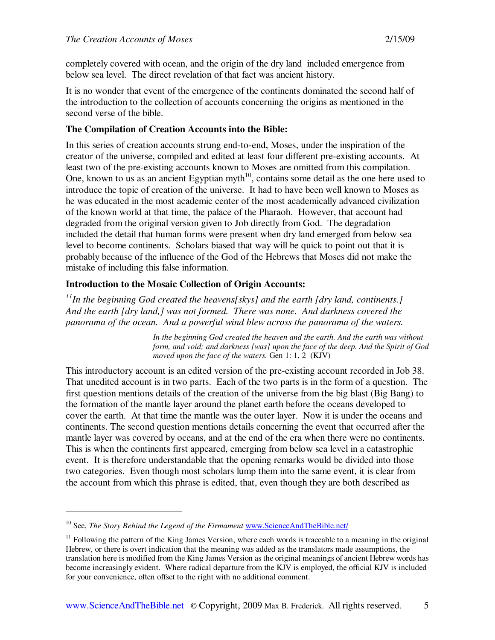completely covered with ocean, and the origin of the dry land included emergence from below sea level. The direct revelation of that fact was ancient history.

It is no wonder that event of the emergence of the continents dominated the second half of the introduction to the collection of accounts concerning the origins as mentioned in the second verse of the bible.

## **The Compilation of Creation Accounts into the Bible:**

In this series of creation accounts strung end-to-end, Moses, under the inspiration of the creator of the universe, compiled and edited at least four different pre-existing accounts. At least two of the pre-existing accounts known to Moses are omitted from this compilation. One, known to us as an ancient Egyptian myth<sup>10</sup>, contains some detail as the one here used to introduce the topic of creation of the universe. It had to have been well known to Moses as he was educated in the most academic center of the most academically advanced civilization of the known world at that time, the palace of the Pharaoh. However, that account had degraded from the original version given to Job directly from God. The degradation included the detail that human forms were present when dry land emerged from below sea level to become continents. Scholars biased that way will be quick to point out that it is probably because of the influence of the God of the Hebrews that Moses did not make the mistake of including this false information.

## **Introduction to the Mosaic Collection of Origin Accounts:**

*<sup>11</sup>In the beginning God created the heavens[skys] and the earth [dry land, continents.] And the earth [dry land,] was not formed. There was none. And darkness covered the panorama of the ocean. And a powerful wind blew across the panorama of the waters.*

> *In the beginning God created the heaven and the earth. And the earth was without form, and void; and darkness [was] upon the face of the deep. And the Spirit of God moved upon the face of the waters.* Gen 1: 1, 2 (KJV)

This introductory account is an edited version of the pre-existing account recorded in Job 38. That unedited account is in two parts. Each of the two parts is in the form of a question. The first question mentions details of the creation of the universe from the big blast (Big Bang) to the formation of the mantle layer around the planet earth before the oceans developed to cover the earth. At that time the mantle was the outer layer. Now it is under the oceans and continents. The second question mentions details concerning the event that occurred after the mantle layer was covered by oceans, and at the end of the era when there were no continents. This is when the continents first appeared, emerging from below sea level in a catastrophic event. It is therefore understandable that the opening remarks would be divided into those two categories. Even though most scholars lump them into the same event, it is clear from the account from which this phrase is edited, that, even though they are both described as

<sup>&</sup>lt;sup>10</sup> See, *The Story Behind the Legend of the Firmament* www.ScienceAndTheBible.net/

 $11$  Following the pattern of the King James Version, where each words is traceable to a meaning in the original Hebrew, or there is overt indication that the meaning was added as the translators made assumptions, the translation here is modified from the King James Version as the original meanings of ancient Hebrew words has become increasingly evident. Where radical departure from the KJV is employed, the official KJV is included for your convenience, often offset to the right with no additional comment.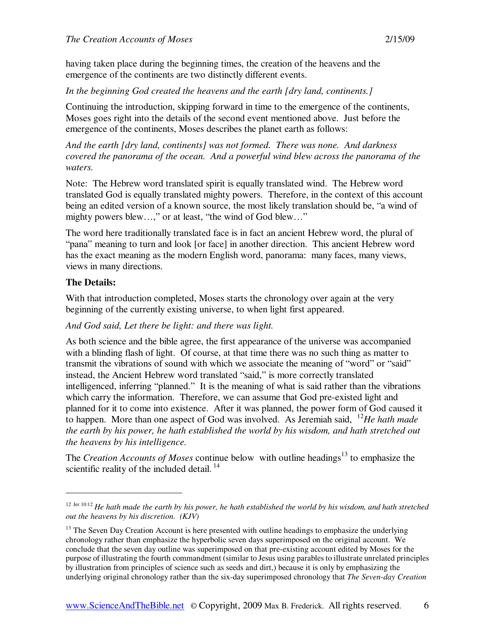having taken place during the beginning times, the creation of the heavens and the emergence of the continents are two distinctly different events.

*In the beginning God created the heavens and the earth [dry land, continents.]* 

Continuing the introduction, skipping forward in time to the emergence of the continents, Moses goes right into the details of the second event mentioned above. Just before the emergence of the continents, Moses describes the planet earth as follows:

*And the earth [dry land, continents] was not formed. There was none. And darkness covered the panorama of the ocean. And a powerful wind blew across the panorama of the waters.* 

Note: The Hebrew word translated spirit is equally translated wind. The Hebrew word translated God is equally translated mighty powers. Therefore, in the context of this account being an edited version of a known source, the most likely translation should be, "a wind of mighty powers blew…," or at least, "the wind of God blew…"

The word here traditionally translated face is in fact an ancient Hebrew word, the plural of "pana" meaning to turn and look [or face] in another direction. This ancient Hebrew word has the exact meaning as the modern English word, panorama: many faces, many views, views in many directions.

## **The Details:**

-

With that introduction completed, Moses starts the chronology over again at the very beginning of the currently existing universe, to when light first appeared.

*And God said, Let there be light: and there was light.* 

As both science and the bible agree, the first appearance of the universe was accompanied with a blinding flash of light. Of course, at that time there was no such thing as matter to transmit the vibrations of sound with which we associate the meaning of "word" or "said" instead, the Ancient Hebrew word translated "said," is more correctly translated intelligenced, inferring "planned." It is the meaning of what is said rather than the vibrations which carry the information. Therefore, we can assume that God pre-existed light and planned for it to come into existence. After it was planned, the power form of God caused it to happen. More than one aspect of God was involved. As Jeremiah said, <sup>12</sup>*He hath made the earth by his power, he hath established the world by his wisdom, and hath stretched out the heavens by his intelligence.* 

The *Creation Accounts of Moses* continue below with outline headings<sup>13</sup> to emphasize the scientific reality of the included detail.<sup>14</sup>

<sup>&</sup>lt;sup>12 Jer 10:12</sup> *He hath made the earth by his power, he hath established the world by his wisdom, and hath stretched out the heavens by his discretion. (KJV)*

 $13$  The Seven Day Creation Account is here presented with outline headings to emphasize the underlying chronology rather than emphasize the hyperbolic seven days superimposed on the original account. We conclude that the seven day outline was superimposed on that pre-existing account edited by Moses for the purpose of illustrating the fourth commandment (similar to Jesus using parables to illustrate unrelated principles by illustration from principles of science such as seeds and dirt,) because it is only by emphasizing the underlying original chronology rather than the six-day superimposed chronology that *The Seven-day Creation*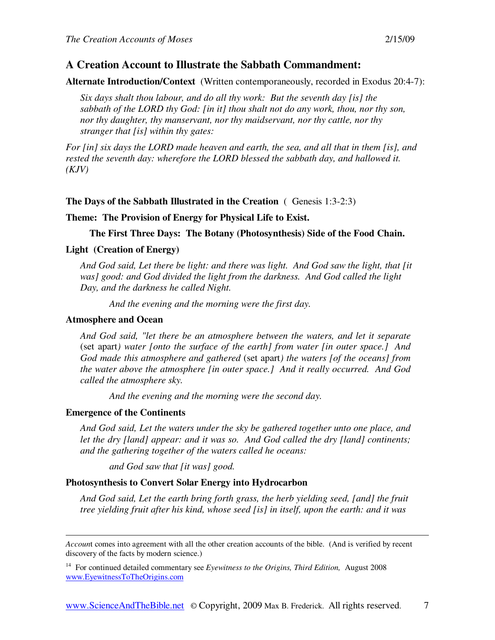## **A Creation Account to Illustrate the Sabbath Commandment:**

**Alternate Introduction/Context** (Written contemporaneously, recorded in Exodus 20:4-7):

*Six days shalt thou labour, and do all thy work: But the seventh day [is] the sabbath of the LORD thy God: [in it] thou shalt not do any work, thou, nor thy son, nor thy daughter, thy manservant, nor thy maidservant, nor thy cattle, nor thy stranger that [is] within thy gates:* 

*For [in] six days the LORD made heaven and earth, the sea, and all that in them [is], and rested the seventh day: wherefore the LORD blessed the sabbath day, and hallowed it. (KJV)* 

#### **The Days of the Sabbath Illustrated in the Creation** (Genesis 1:3-2:3)

#### **Theme: The Provision of Energy for Physical Life to Exist.**

**The First Three Days: The Botany (Photosynthesis) Side of the Food Chain.** 

#### **Light (Creation of Energy)**

*And God said, Let there be light: and there was light. And God saw the light, that [it was] good: and God divided the light from the darkness. And God called the light Day, and the darkness he called Night.* 

*And the evening and the morning were the first day.* 

### **Atmosphere and Ocean**

*And God said, "let there be an atmosphere between the waters, and let it separate*  (set apart*) water [onto the surface of the earth] from water [in outer space.] And God made this atmosphere and gathered* (set apart*) the waters [of the oceans] from the water above the atmosphere [in outer space.] And it really occurred. And God called the atmosphere sky.* 

*And the evening and the morning were the second day.* 

#### **Emergence of the Continents**

 $\overline{a}$ 

*And God said, Let the waters under the sky be gathered together unto one place, and let the dry [land] appear: and it was so. And God called the dry [land] continents; and the gathering together of the waters called he oceans:* 

*and God saw that [it was] good.* 

#### **Photosynthesis to Convert Solar Energy into Hydrocarbon**

*And God said, Let the earth bring forth grass, the herb yielding seed, [and] the fruit tree yielding fruit after his kind, whose seed [is] in itself, upon the earth: and it was* 

*Accoun*t comes into agreement with all the other creation accounts of the bible. (And is verified by recent discovery of the facts by modern science.)

<sup>14</sup> For continued detailed commentary see *Eyewitness to the Origins, Third Edition,* August 2008 www.EyewitnessToTheOrigins.com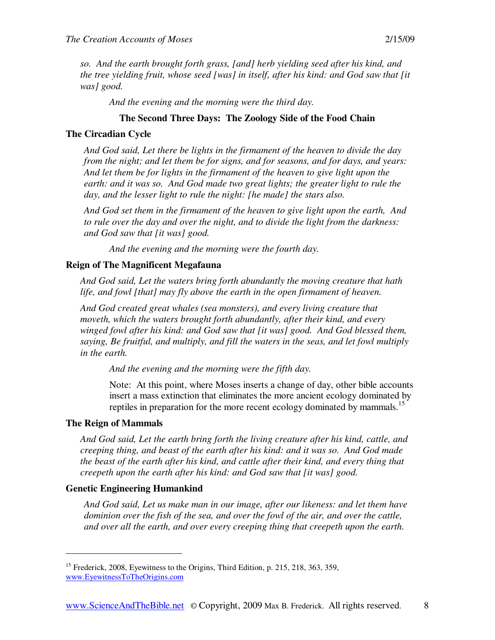*so. And the earth brought forth grass, [and] herb yielding seed after his kind, and the tree yielding fruit, whose seed [was] in itself, after his kind: and God saw that [it was] good.* 

*And the evening and the morning were the third day.* 

## **The Second Three Days: The Zoology Side of the Food Chain**

## **The Circadian Cycle**

*And God said, Let there be lights in the firmament of the heaven to divide the day from the night; and let them be for signs, and for seasons, and for days, and years: And let them be for lights in the firmament of the heaven to give light upon the earth: and it was so. And God made two great lights; the greater light to rule the day, and the lesser light to rule the night: [he made] the stars also.* 

*And God set them in the firmament of the heaven to give light upon the earth, And to rule over the day and over the night, and to divide the light from the darkness: and God saw that [it was] good.* 

*And the evening and the morning were the fourth day.* 

## **Reign of The Magnificent Megafauna**

*And God said, Let the waters bring forth abundantly the moving creature that hath life, and fowl [that] may fly above the earth in the open firmament of heaven.* 

*And God created great whales (sea monsters), and every living creature that moveth, which the waters brought forth abundantly, after their kind, and every winged fowl after his kind: and God saw that [it was] good. And God blessed them, saying, Be fruitful, and multiply, and fill the waters in the seas, and let fowl multiply in the earth.* 

*And the evening and the morning were the fifth day.* 

Note: At this point, where Moses inserts a change of day, other bible accounts insert a mass extinction that eliminates the more ancient ecology dominated by reptiles in preparation for the more recent ecology dominated by mammals.<sup>15</sup>

#### **The Reign of Mammals**

-

*And God said, Let the earth bring forth the living creature after his kind, cattle, and creeping thing, and beast of the earth after his kind: and it was so. And God made the beast of the earth after his kind, and cattle after their kind, and every thing that creepeth upon the earth after his kind: and God saw that [it was] good.* 

## **Genetic Engineering Humankind**

*And God said, Let us make man in our image, after our likeness: and let them have dominion over the fish of the sea, and over the fowl of the air, and over the cattle, and over all the earth, and over every creeping thing that creepeth upon the earth.* 

<sup>&</sup>lt;sup>15</sup> Frederick, 2008, Eyewitness to the Origins, Third Edition, p. 215, 218, 363, 359, www.EyewitnessToTheOrigins.com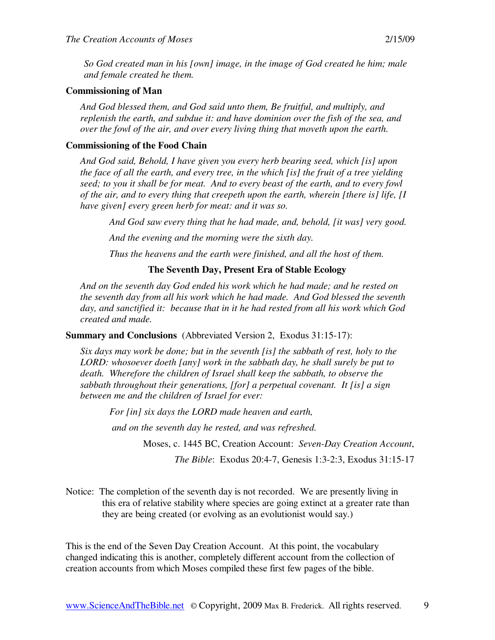*So God created man in his [own] image, in the image of God created he him; male and female created he them.* 

#### **Commissioning of Man**

*And God blessed them, and God said unto them, Be fruitful, and multiply, and replenish the earth, and subdue it: and have dominion over the fish of the sea, and over the fowl of the air, and over every living thing that moveth upon the earth.* 

#### **Commissioning of the Food Chain**

*And God said, Behold, I have given you every herb bearing seed, which [is] upon the face of all the earth, and every tree, in the which [is] the fruit of a tree yielding seed; to you it shall be for meat. And to every beast of the earth, and to every fowl of the air, and to every thing that creepeth upon the earth, wherein [there is] life, [I have given] every green herb for meat: and it was so.* 

*And God saw every thing that he had made, and, behold, [it was] very good.* 

*And the evening and the morning were the sixth day.* 

*Thus the heavens and the earth were finished, and all the host of them.* 

#### **The Seventh Day, Present Era of Stable Ecology**

*And on the seventh day God ended his work which he had made; and he rested on the seventh day from all his work which he had made. And God blessed the seventh day, and sanctified it: because that in it he had rested from all his work which God created and made.* 

**Summary and Conclusions** (Abbreviated Version 2, Exodus 31:15-17):

*Six days may work be done; but in the seventh [is] the sabbath of rest, holy to the LORD: whosoever doeth [any] work in the sabbath day, he shall surely be put to death. Wherefore the children of Israel shall keep the sabbath, to observe the sabbath throughout their generations, [for] a perpetual covenant. It [is] a sign between me and the children of Israel for ever:* 

*For [in] six days the LORD made heaven and earth,* 

 *and on the seventh day he rested, and was refreshed.* 

Moses, c. 1445 BC, Creation Account: *Seven-Day Creation Account*,

*The Bible*: Exodus 20:4-7, Genesis 1:3-2:3, Exodus 31:15-17

Notice: The completion of the seventh day is not recorded. We are presently living in this era of relative stability where species are going extinct at a greater rate than they are being created (or evolving as an evolutionist would say.)

This is the end of the Seven Day Creation Account. At this point, the vocabulary changed indicating this is another, completely different account from the collection of creation accounts from which Moses compiled these first few pages of the bible.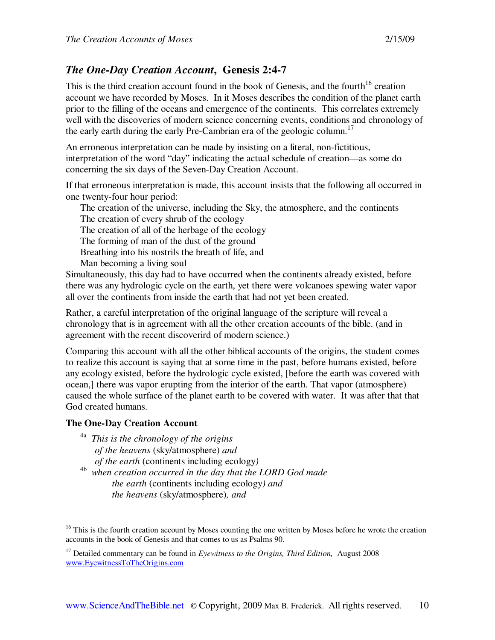## *The One-Day Creation Account***, Genesis 2:4-7**

This is the third creation account found in the book of Genesis, and the fourth<sup>16</sup> creation account we have recorded by Moses. In it Moses describes the condition of the planet earth prior to the filling of the oceans and emergence of the continents. This correlates extremely well with the discoveries of modern science concerning events, conditions and chronology of the early earth during the early Pre-Cambrian era of the geologic column.<sup>17</sup>

An erroneous interpretation can be made by insisting on a literal, non-fictitious, interpretation of the word "day" indicating the actual schedule of creation—as some do concerning the six days of the Seven-Day Creation Account.

If that erroneous interpretation is made, this account insists that the following all occurred in one twenty-four hour period:

The creation of the universe, including the Sky, the atmosphere, and the continents The creation of every shrub of the ecology

The creation of all of the herbage of the ecology

The forming of man of the dust of the ground

Breathing into his nostrils the breath of life, and

Man becoming a living soul

Simultaneously, this day had to have occurred when the continents already existed, before there was any hydrologic cycle on the earth, yet there were volcanoes spewing water vapor all over the continents from inside the earth that had not yet been created.

Rather, a careful interpretation of the original language of the scripture will reveal a chronology that is in agreement with all the other creation accounts of the bible. (and in agreement with the recent discoverird of modern science.)

Comparing this account with all the other biblical accounts of the origins, the student comes to realize this account is saying that at some time in the past, before humans existed, before any ecology existed, before the hydrologic cycle existed, [before the earth was covered with ocean,] there was vapor erupting from the interior of the earth. That vapor (atmosphere) caused the whole surface of the planet earth to be covered with water. It was after that that God created humans.

## **The One-Day Creation Account**

- 4a *This is the chronology of the origins of the heavens* (sky/atmosphere) *and of the earth* (continents including ecology*)*
- 4b *when creation occurred in the day that the LORD God made the earth* (continents including ecology*) and the heavens* (sky/atmosphere)*, and*

<sup>&</sup>lt;sup>16</sup> This is the fourth creation account by Moses counting the one written by Moses before he wrote the creation accounts in the book of Genesis and that comes to us as Psalms 90.

<sup>&</sup>lt;sup>17</sup> Detailed commentary can be found in *Eyewitness to the Origins, Third Edition*, August 2008 www.EyewitnessToTheOrigins.com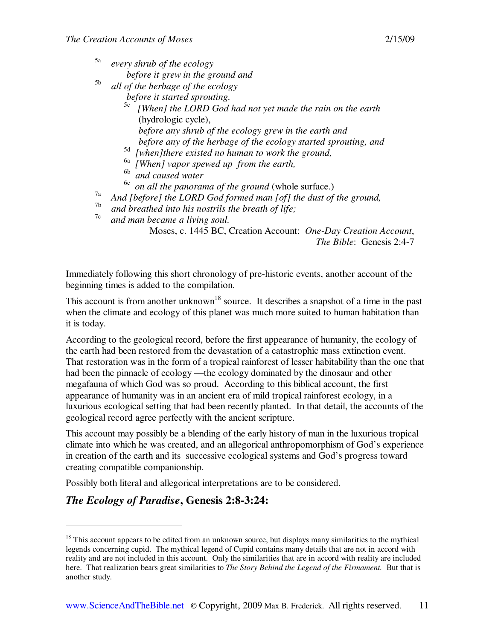5a *every shrub of the ecology* 

 *before it grew in the ground and* 

5b *all of the herbage of the ecology* 

 *before it started sprouting.* 

- 5c *[When] the LORD God had not yet made the rain on the earth*  (hydrologic cycle), *before any shrub of the ecology grew in the earth and* 
	- *before any of the herbage of the ecology started sprouting, and*
- 5d *[when]there existed no human to work the ground,*
- 6a *[When] vapor spewed up from the earth,*
- 6b *and caused water*

6c *on all the panorama of the ground* (whole surface.)

- <sup>7a</sup> And [before] the LORD God formed man [of] the dust of the ground,
- and breathed into his nostrils the breath of life;
- 7c *and man became a living soul.*

Moses, c. 1445 BC, Creation Account: *One-Day Creation Account*, *The Bible*: Genesis 2:4-7

Immediately following this short chronology of pre-historic events, another account of the beginning times is added to the compilation.

This account is from another unknown<sup>18</sup> source. It describes a snapshot of a time in the past when the climate and ecology of this planet was much more suited to human habitation than it is today.

According to the geological record, before the first appearance of humanity, the ecology of the earth had been restored from the devastation of a catastrophic mass extinction event. That restoration was in the form of a tropical rainforest of lesser habitability than the one that had been the pinnacle of ecology —the ecology dominated by the dinosaur and other megafauna of which God was so proud. According to this biblical account, the first appearance of humanity was in an ancient era of mild tropical rainforest ecology, in a luxurious ecological setting that had been recently planted. In that detail, the accounts of the geological record agree perfectly with the ancient scripture.

This account may possibly be a blending of the early history of man in the luxurious tropical climate into which he was created, and an allegorical anthropomorphism of God's experience in creation of the earth and its successive ecological systems and God's progress toward creating compatible companionship.

Possibly both literal and allegorical interpretations are to be considered.

# *The Ecology of Paradise***, Genesis 2:8-3:24:**

 $18$  This account appears to be edited from an unknown source, but displays many similarities to the mythical legends concerning cupid. The mythical legend of Cupid contains many details that are not in accord with reality and are not included in this account. Only the similarities that are in accord with reality are included here. That realization bears great similarities to *The Story Behind the Legend of the Firmament.* But that is another study.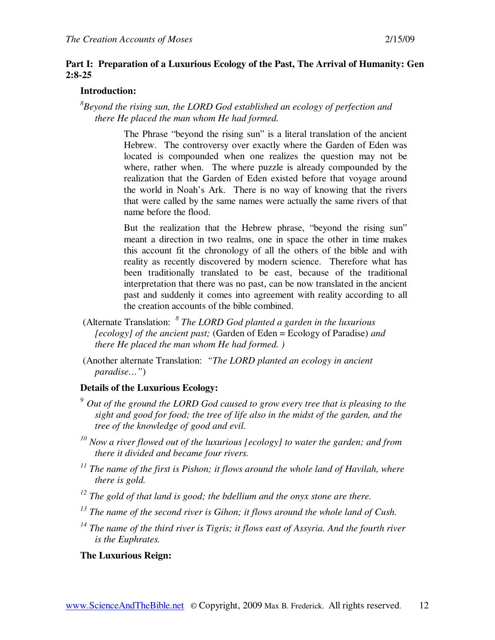## **Part I: Preparation of a Luxurious Ecology of the Past, The Arrival of Humanity: Gen 2:8-25**

## **Introduction:**

*8 Beyond the rising sun, the LORD God established an ecology of perfection and there He placed the man whom He had formed.* 

> The Phrase "beyond the rising sun" is a literal translation of the ancient Hebrew. The controversy over exactly where the Garden of Eden was located is compounded when one realizes the question may not be where, rather when. The where puzzle is already compounded by the realization that the Garden of Eden existed before that voyage around the world in Noah's Ark. There is no way of knowing that the rivers that were called by the same names were actually the same rivers of that name before the flood.

> But the realization that the Hebrew phrase, "beyond the rising sun" meant a direction in two realms, one in space the other in time makes this account fit the chronology of all the others of the bible and with reality as recently discovered by modern science. Therefore what has been traditionally translated to be east, because of the traditional interpretation that there was no past, can be now translated in the ancient past and suddenly it comes into agreement with reality according to all the creation accounts of the bible combined.

- (Alternate Translation: *8 The LORD God planted a garden in the luxurious [ecology] of the ancient past;* (Garden of Eden = Ecology of Paradise) *and there He placed the man whom He had formed. )*
- (Another alternate Translation: *"The LORD planted an ecology in ancient paradise…"*)

## **Details of the Luxurious Ecology:**

- *<sup>9</sup>Out of the ground the LORD God caused to grow every tree that is pleasing to the sight and good for food; the tree of life also in the midst of the garden, and the tree of the knowledge of good and evil.*
- *<sup>10</sup> Now a river flowed out of the luxurious [ecology] to water the garden; and from there it divided and became four rivers.*
- *<sup>11</sup> The name of the first is Pishon; it flows around the whole land of Havilah, where there is gold.*
- *<sup>12</sup> The gold of that land is good; the bdellium and the onyx stone are there.*
- *<sup>13</sup> The name of the second river is Gihon; it flows around the whole land of Cush.*
- *<sup>14</sup> The name of the third river is Tigris; it flows east of Assyria. And the fourth river is the Euphrates.*

## **The Luxurious Reign:**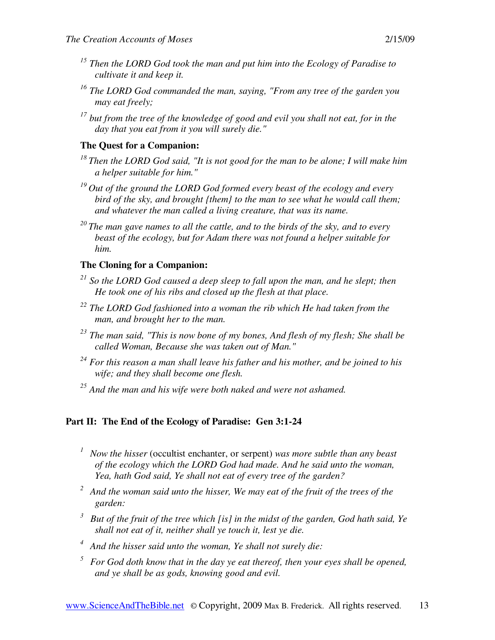- *<sup>15</sup> Then the LORD God took the man and put him into the Ecology of Paradise to cultivate it and keep it.*
- *<sup>16</sup> The LORD God commanded the man, saying, "From any tree of the garden you may eat freely;*
- *<sup>17</sup> but from the tree of the knowledge of good and evil you shall not eat, for in the day that you eat from it you will surely die."*

## **The Quest for a Companion:**

- *<sup>18</sup>Then the LORD God said, "It is not good for the man to be alone; I will make him a helper suitable for him."*
- *<sup>19</sup>Out of the ground the LORD God formed every beast of the ecology and every bird of the sky, and brought {them} to the man to see what he would call them; and whatever the man called a living creature, that was its name.*
- *<sup>20</sup>The man gave names to all the cattle, and to the birds of the sky, and to every beast of the ecology, but for Adam there was not found a helper suitable for him.*

## **The Cloning for a Companion:**

- *<sup>21</sup> So the LORD God caused a deep sleep to fall upon the man, and he slept; then He took one of his ribs and closed up the flesh at that place.*
- *<sup>22</sup> The LORD God fashioned into a woman the rib which He had taken from the man, and brought her to the man.*
- *<sup>23</sup> The man said, "This is now bone of my bones, And flesh of my flesh; She shall be called Woman, Because she was taken out of Man."*
- *<sup>24</sup> For this reason a man shall leave his father and his mother, and be joined to his wife; and they shall become one flesh.*
- *<sup>25</sup> And the man and his wife were both naked and were not ashamed.*

# **Part II: The End of the Ecology of Paradise: Gen 3:1-24**

- *<sup>1</sup>Now the hisser* (occultist enchanter, or serpent) *was more subtle than any beast of the ecology which the LORD God had made. And he said unto the woman, Yea, hath God said, Ye shall not eat of every tree of the garden?*
- *<sup>2</sup>And the woman said unto the hisser, We may eat of the fruit of the trees of the garden:*
- *<sup>3</sup>But of the fruit of the tree which [is] in the midst of the garden, God hath said, Ye shall not eat of it, neither shall ye touch it, lest ye die.*
- *<sup>4</sup>And the hisser said unto the woman, Ye shall not surely die:*
- *<sup>5</sup>For God doth know that in the day ye eat thereof, then your eyes shall be opened, and ye shall be as gods, knowing good and evil.*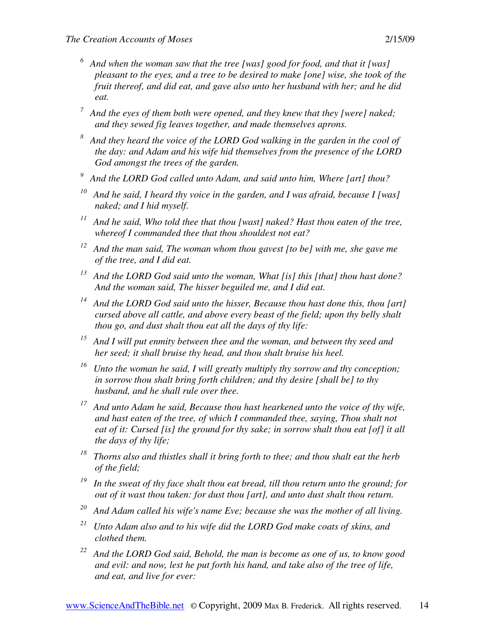- *<sup>6</sup>And when the woman saw that the tree [was] good for food, and that it [was] pleasant to the eyes, and a tree to be desired to make [one] wise, she took of the fruit thereof, and did eat, and gave also unto her husband with her; and he did eat.*
- *<sup>7</sup>And the eyes of them both were opened, and they knew that they [were] naked; and they sewed fig leaves together, and made themselves aprons.*
- *<sup>8</sup>And they heard the voice of the LORD God walking in the garden in the cool of the day: and Adam and his wife hid themselves from the presence of the LORD God amongst the trees of the garden.*
- *<sup>9</sup>And the LORD God called unto Adam, and said unto him, Where [art] thou?*
- *<sup>10</sup>And he said, I heard thy voice in the garden, and I was afraid, because I [was] naked; and I hid myself.*
- *<sup>11</sup>And he said, Who told thee that thou [wast] naked? Hast thou eaten of the tree, whereof I commanded thee that thou shouldest not eat?*
- *<sup>12</sup>And the man said, The woman whom thou gavest [to be] with me, she gave me of the tree, and I did eat.*
- *<sup>13</sup>And the LORD God said unto the woman, What [is] this [that] thou hast done? And the woman said, The hisser beguiled me, and I did eat.*
- *<sup>14</sup>And the LORD God said unto the hisser, Because thou hast done this, thou [art] cursed above all cattle, and above every beast of the field; upon thy belly shalt thou go, and dust shalt thou eat all the days of thy life:*
- *<sup>15</sup>And I will put enmity between thee and the woman, and between thy seed and her seed; it shall bruise thy head, and thou shalt bruise his heel.*
- *<sup>16</sup>Unto the woman he said, I will greatly multiply thy sorrow and thy conception; in sorrow thou shalt bring forth children; and thy desire [shall be] to thy husband, and he shall rule over thee.*
- *<sup>17</sup>And unto Adam he said, Because thou hast hearkened unto the voice of thy wife, and hast eaten of the tree, of which I commanded thee, saying, Thou shalt not eat of it: Cursed [is] the ground for thy sake; in sorrow shalt thou eat [of] it all the days of thy life;*
- *<sup>18</sup>Thorns also and thistles shall it bring forth to thee; and thou shalt eat the herb of the field;*
- *<sup>19</sup>In the sweat of thy face shalt thou eat bread, till thou return unto the ground; for out of it wast thou taken: for dust thou [art], and unto dust shalt thou return.*
- *<sup>20</sup>And Adam called his wife's name Eve; because she was the mother of all living.*
- *<sup>21</sup>Unto Adam also and to his wife did the LORD God make coats of skins, and clothed them.*
- *<sup>22</sup>And the LORD God said, Behold, the man is become as one of us, to know good and evil: and now, lest he put forth his hand, and take also of the tree of life, and eat, and live for ever:*